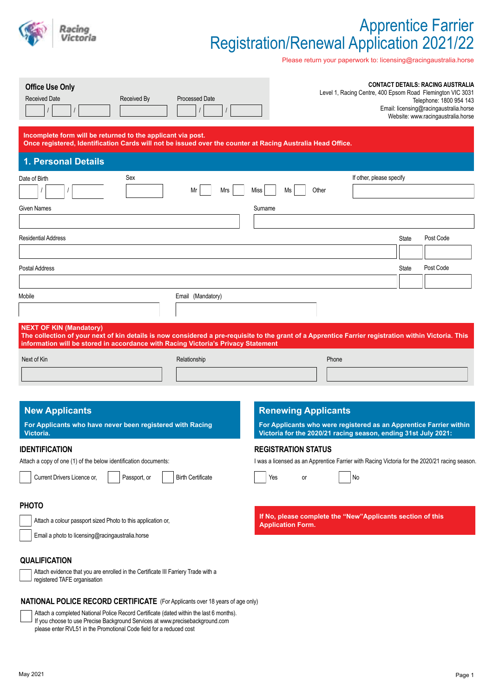

# Apprentice Farrier Registration/Renewal Application 2021/22

Please return your paperwork to: licensing@racingaustralia.horse

| <b>Office Use Only</b><br><b>Received Date</b><br>Received By                                                                                                                                                                                                                                                                           | <b>Processed Date</b>    |                                                                                                                             | Level 1, Racing Centre, 400 Epsom Road Flemington VIC 3031         |       | <b>CONTACT DETAILS: RACING AUSTRALIA</b><br>Telephone: 1800 954 143<br>Email: licensing@racingaustralia.horse<br>Website: www.racingaustralia.horse |
|-----------------------------------------------------------------------------------------------------------------------------------------------------------------------------------------------------------------------------------------------------------------------------------------------------------------------------------------|--------------------------|-----------------------------------------------------------------------------------------------------------------------------|--------------------------------------------------------------------|-------|-----------------------------------------------------------------------------------------------------------------------------------------------------|
| Incomplete form will be returned to the applicant via post.<br>Once registered, Identification Cards will not be issued over the counter at Racing Australia Head Office.                                                                                                                                                               |                          |                                                                                                                             |                                                                    |       |                                                                                                                                                     |
| 1. Personal Details                                                                                                                                                                                                                                                                                                                     |                          |                                                                                                                             |                                                                    |       |                                                                                                                                                     |
| Sex<br>Date of Birth                                                                                                                                                                                                                                                                                                                    |                          |                                                                                                                             | If other, please specify                                           |       |                                                                                                                                                     |
|                                                                                                                                                                                                                                                                                                                                         | Mrs<br>Mr                | Miss<br>Ms<br>Other                                                                                                         |                                                                    |       |                                                                                                                                                     |
| Given Names                                                                                                                                                                                                                                                                                                                             |                          | Surname                                                                                                                     |                                                                    |       |                                                                                                                                                     |
|                                                                                                                                                                                                                                                                                                                                         |                          |                                                                                                                             |                                                                    |       |                                                                                                                                                     |
| <b>Residential Address</b>                                                                                                                                                                                                                                                                                                              |                          |                                                                                                                             |                                                                    | State | Post Code                                                                                                                                           |
|                                                                                                                                                                                                                                                                                                                                         |                          |                                                                                                                             |                                                                    |       |                                                                                                                                                     |
| Postal Address                                                                                                                                                                                                                                                                                                                          |                          |                                                                                                                             |                                                                    | State | Post Code                                                                                                                                           |
|                                                                                                                                                                                                                                                                                                                                         |                          |                                                                                                                             |                                                                    |       |                                                                                                                                                     |
| Mobile                                                                                                                                                                                                                                                                                                                                  | Email (Mandatory)        |                                                                                                                             |                                                                    |       |                                                                                                                                                     |
|                                                                                                                                                                                                                                                                                                                                         |                          |                                                                                                                             |                                                                    |       |                                                                                                                                                     |
| <b>NEXT OF KIN (Mandatory)</b><br>The collection of your next of kin details is now considered a pre-requisite to the grant of a Apprentice Farrier registration within Victoria. This<br>information will be stored in accordance with Racing Victoria's Privacy Statement                                                             |                          |                                                                                                                             |                                                                    |       |                                                                                                                                                     |
| Next of Kin                                                                                                                                                                                                                                                                                                                             | Relationship             |                                                                                                                             | Phone                                                              |       |                                                                                                                                                     |
|                                                                                                                                                                                                                                                                                                                                         |                          |                                                                                                                             |                                                                    |       |                                                                                                                                                     |
|                                                                                                                                                                                                                                                                                                                                         |                          |                                                                                                                             |                                                                    |       |                                                                                                                                                     |
| <b>New Applicants</b><br>For Applicants who have never been registered with Racing                                                                                                                                                                                                                                                      |                          | <b>Renewing Applicants</b>                                                                                                  | For Applicants who were registered as an Apprentice Farrier within |       |                                                                                                                                                     |
| Victoria.                                                                                                                                                                                                                                                                                                                               |                          |                                                                                                                             | Victoria for the 2020/21 racing season, ending 31st July 2021:     |       |                                                                                                                                                     |
| <b>IDENTIFICATION</b><br>Attach a copy of one (1) of the below identification documents:                                                                                                                                                                                                                                                |                          | <b>REGISTRATION STATUS</b><br>I was a licensed as an Apprentice Farrier with Racing Victoria for the 2020/21 racing season. |                                                                    |       |                                                                                                                                                     |
|                                                                                                                                                                                                                                                                                                                                         |                          |                                                                                                                             |                                                                    |       |                                                                                                                                                     |
| Current Drivers Licence or,<br>Passport, or                                                                                                                                                                                                                                                                                             | <b>Birth Certificate</b> | Yes<br>or                                                                                                                   | No                                                                 |       |                                                                                                                                                     |
| <b>PHOTO</b>                                                                                                                                                                                                                                                                                                                            |                          |                                                                                                                             |                                                                    |       |                                                                                                                                                     |
| Attach a colour passport sized Photo to this application or,                                                                                                                                                                                                                                                                            |                          |                                                                                                                             | If No, please complete the "New"Applicants section of this         |       |                                                                                                                                                     |
| Email a photo to licensing@racingaustralia.horse                                                                                                                                                                                                                                                                                        |                          | <b>Application Form.</b>                                                                                                    |                                                                    |       |                                                                                                                                                     |
|                                                                                                                                                                                                                                                                                                                                         |                          |                                                                                                                             |                                                                    |       |                                                                                                                                                     |
| <b>QUALIFICATION</b>                                                                                                                                                                                                                                                                                                                    |                          |                                                                                                                             |                                                                    |       |                                                                                                                                                     |
| Attach evidence that you are enrolled in the Certificate III Farriery Trade with a<br>registered TAFE organisation                                                                                                                                                                                                                      |                          |                                                                                                                             |                                                                    |       |                                                                                                                                                     |
|                                                                                                                                                                                                                                                                                                                                         |                          |                                                                                                                             |                                                                    |       |                                                                                                                                                     |
| <b>NATIONAL POLICE RECORD CERTIFICATE</b> (For Applicants over 18 years of age only)<br>Attach a completed National Police Record Certificate (dated within the last 6 months).<br>If you choose to use Precise Background Services at www.precisebackground.com<br>please enter RVL51 in the Promotional Code field for a reduced cost |                          |                                                                                                                             |                                                                    |       |                                                                                                                                                     |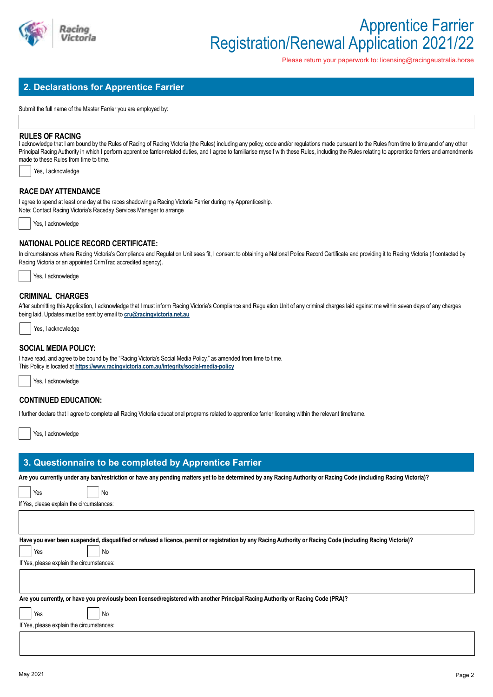

Please return your paperwork to: licensing@racingaustralia.horse

# **2. Declarations for Apprentice Farrier**

Submit the full name of the Master Farrier you are employed by:

### **RULES OF RACING**

I acknowledge that I am bound by the Rules of Racing of Racing Victoria (the Rules) including any policy, code and/or regulations made pursuant to the Rules from time to time, and of any other Principal Racing Authority in which I perform apprentice farrier-related duties, and I agree to familiarise myself with these Rules, including the Rules relating to apprentice farriers and amendments made to these Rules from time to time.

|  |  | Yes, I acknowledge |
|--|--|--------------------|
|--|--|--------------------|

## **RACE DAY ATTENDANCE**

I agree to spend at least one day at the races shadowing a Racing Victoria Farrier during my Apprenticeship. Note: Contact Racing Victoria's Raceday Services Manager to arrange

Yes, I acknowledge

## **NATIONAL POLICE RECORD CERTIFICATE:**

In circumstances where Racing Victoria's Compliance and Regulation Unit sees fit, I consent to obtaining a National Police Record Certificate and providing it to Racing Victoria (if contacted by Racing Victoria or an appointed CrimTrac accredited agency).



## **CRIMINAL CHARGES**

After submitting this Application, I acknowledge that I must inform Racing Victoria's Compliance and Regulation Unit of any criminal charges laid against me within seven days of any charges being laid. Updates must be sent by email to **cru@racingvictoria.net.au**



### **SOCIAL MEDIA POLICY:**

I have read, and agree to be bound by the "Racing Victoria's Social Media Policy," as amended from time to time. This Policy is located at **https://www.racingvictoria.com.au/integrity/social-media-policy**



## **CONTINUED EDUCATION:**

I further declare that I agree to complete all Racing Victoria educational programs related to apprentice farrier licensing within the relevant timeframe.

Yes, I acknowledge

# **3. Questionnaire to be completed by Apprentice Farrier**

**Are you currently under any ban/restriction or have any pending matters yet to be determined by any Racing Authority or Racing Code (including Racing Victoria)?**

| Are you currently under any ban/restriction or nave any pending matters yet to be determined by any Racing Authority or Racing Gode (including Racing Victoria)? |
|------------------------------------------------------------------------------------------------------------------------------------------------------------------|
| Yes<br>No                                                                                                                                                        |
| If Yes, please explain the circumstances:                                                                                                                        |
|                                                                                                                                                                  |
|                                                                                                                                                                  |
| Have you ever been suspended, disqualified or refused a licence, permit or registration by any Racing Authority or Racing Code (including Racing Victoria)?      |
| No<br>Yes                                                                                                                                                        |
| If Yes, please explain the circumstances:                                                                                                                        |
|                                                                                                                                                                  |
|                                                                                                                                                                  |
| Are you currently, or have you previously been licensed/registered with another Principal Racing Authority or Racing Code (PRA)?                                 |
| Yes<br>No                                                                                                                                                        |
| If Yes, please explain the circumstances:                                                                                                                        |
|                                                                                                                                                                  |
|                                                                                                                                                                  |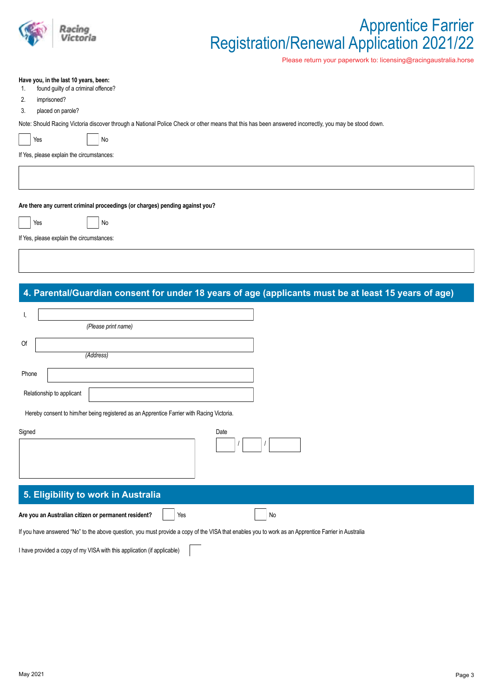

# Apprentice Farrier Registration/Renewal Application 2021/22

Please return your paperwork to: licensing@racingaustralia.horse

#### **Have you, in the last 10 years, been:**

- 1. found guilty of a criminal offence?
- 2. imprisoned?
- 3. placed on parole?

Note: Should Racing Victoria discover through a National Police Check or other means that this has been answered incorrectly, you may be stood down.

 $Yes$   $|$   $|$   $No$ 

If Yes, please explain the circumstances:

**Are there any current criminal proceedings (or charges) pending against you?**

| Yes | No |
|-----|----|
|     |    |

If Yes, please explain the circumstances:

# **4. Parental/Guardian consent for under 18 years of age (applicants must be at least 15 years of age)**

|       | (Please print name)                                                                       |
|-------|-------------------------------------------------------------------------------------------|
| Of    |                                                                                           |
|       | (Address)                                                                                 |
| Phone |                                                                                           |
|       | Relationship to applicant                                                                 |
|       | Hereby consent to him/her being registered as an Apprentice Farrier with Racing Victoria. |

| Signed                                                                                                                                              | Date |
|-----------------------------------------------------------------------------------------------------------------------------------------------------|------|
| 5. Eligibility to work in Australia                                                                                                                 |      |
| Are you an Australian citizen or permanent resident?<br>Yes                                                                                         | No   |
| If you have answered "No" to the above question, you must provide a copy of the VISA that enables you to work as an Apprentice Farrier in Australia |      |

I have provided a copy of my VISA with this application (if applicable)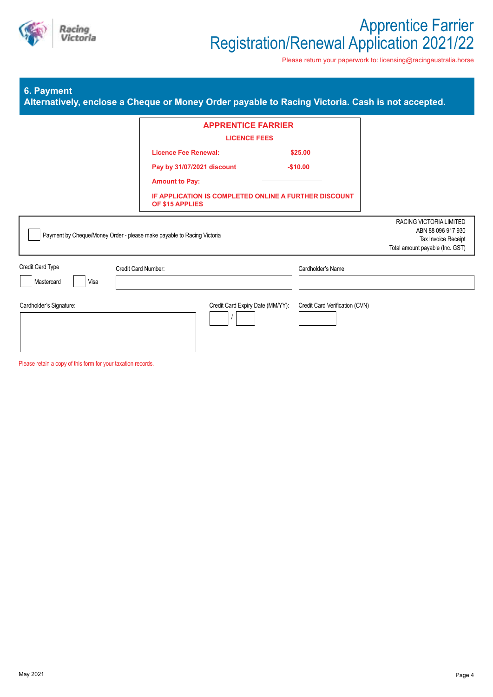

Please return your paperwork to: licensing@racingaustralia.horse

# **6. Payment**

|  |  | Alternatively, enclose a Cheque or Money Order payable to Racing Victoria. Cash is not accepted. |
|--|--|--------------------------------------------------------------------------------------------------|
|  |  |                                                                                                  |
|  |  |                                                                                                  |
|  |  |                                                                                                  |

|                                                                   | <b>APPRENTICE FARRIER</b><br><b>LICENCE FEES</b>                                                                                                               |                                                     |                                                                                                         |
|-------------------------------------------------------------------|----------------------------------------------------------------------------------------------------------------------------------------------------------------|-----------------------------------------------------|---------------------------------------------------------------------------------------------------------|
|                                                                   | <b>Licence Fee Renewal:</b><br>Pay by 31/07/2021 discount<br><b>Amount to Pay:</b><br>IF APPLICATION IS COMPLETED ONLINE A FURTHER DISCOUNT<br>OF \$15 APPLIES | \$25.00<br>$-$10.00$                                |                                                                                                         |
|                                                                   | Payment by Cheque/Money Order - please make payable to Racing Victoria                                                                                         |                                                     | RACING VICTORIA LIMITED<br>ABN 88 096 917 930<br>Tax Invoice Receipt<br>Total amount payable (Inc. GST) |
| Credit Card Type<br>Mastercard<br>Visa<br>Cardholder's Signature: | Credit Card Number:<br>Credit Card Expiry Date (MM/YY):                                                                                                        | Cardholder's Name<br>Credit Card Verification (CVN) |                                                                                                         |

Please retain a copy of this form for your taxation records.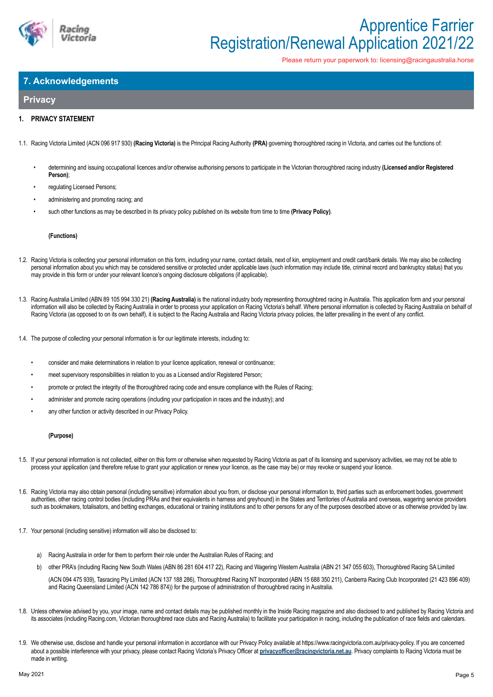

Please return your paperwork to: licensing@racingaustralia.horse

# **7. Acknowledgements**

# **Privacy**

### **1. PRIVACY STATEMENT**

- 1.1. Racing Victoria Limited (ACN 096 917 930) **(Racing Victoria)** is the Principal Racing Authority **(PRA)** governing thoroughbred racing in Victoria, and carries out the functions of:
	- determining and issuing occupational licences and/or otherwise authorising persons to participate in the Victorian thoroughbred racing industry **(Licensed and/or Registered Person)**;
	- regulating Licensed Persons:
	- administering and promoting racing; and
	- such other functions as may be described in its privacy policy published on its website from time to time **(Privacy Policy)**.

#### **(Functions)**

- 1.2. Racing Victoria is collecting your personal information on this form, including your name, contact details, next of kin, employment and credit card/bank details. We may also be collecting personal information about you which may be considered sensitive or protected under applicable laws (such information may include title, criminal record and bankruptcy status) that you may provide in this form or under your relevant licence's ongoing disclosure obligations (if applicable).
- 1.3. Racing Australia Limited (ABN 89 105 994 330 21) **(Racing Australia)** is the national industry body representing thoroughbred racing in Australia. This application form and your personal information will also be collected by Racing Australia in order to process your application on Racing Victoria's behalf. Where personal information is collected by Racing Australia on behalf of Racing Victoria (as opposed to on its own behalf), it is subject to the Racing Australia and Racing Victoria privacy policies, the latter prevailing in the event of any conflict.
- 1.4. The purpose of collecting your personal information is for our legitimate interests, including to:
	- consider and make determinations in relation to your licence application, renewal or continuance;
	- meet supervisory responsibilities in relation to you as a Licensed and/or Registered Person;
	- promote or protect the integrity of the thoroughbred racing code and ensure compliance with the Rules of Racing;
	- administer and promote racing operations (including your participation in races and the industry); and
	- any other function or activity described in our Privacy Policy.

#### **(Purpose)**

- 1.5. If your personal information is not collected, either on this form or otherwise when requested by Racing Victoria as part of its licensing and supervisory activities, we may not be able to process your application (and therefore refuse to grant your application or renew your licence, as the case may be) or may revoke or suspend your licence.
- 1.6. Racing Victoria may also obtain personal (including sensitive) information about you from, or disclose your personal information to, third parties such as enforcement bodies, government authorities, other racing control bodies (including PRAs and their equivalents in harness and greyhound) in the States and Territories of Australia and overseas, wagering service providers such as bookmakers, totalisators, and betting exchanges, educational or training institutions and to other persons for any of the purposes described above or as otherwise provided by law.
- 1.7. Your personal (including sensitive) information will also be disclosed to:
	- a) Racing Australia in order for them to perform their role under the Australian Rules of Racing; and
	- b) other PRA's (including Racing New South Wales (ABN 86 281 604 417 22), Racing and Wagering Western Australia (ABN 21 347 055 603), Thoroughbred Racing SA Limited
	- (ACN 094 475 939), Tasracing Pty Limited (ACN 137 188 286), Thoroughbred Racing NT Incorporated (ABN 15 688 350 211), Canberra Racing Club Incorporated (21 423 896 409) and Racing Queensland Limited (ACN 142 786 874)) for the purpose of administration of thoroughbred racing in Australia.
- 1.8. Unless otherwise advised by you, your image, name and contact details may be published monthly in the Inside Racing magazine and also disclosed to and published by Racing Victoria and its associates (including Racing.com, Victorian thoroughbred race clubs and Racing Australia) to facilitate your participation in racing, including the publication of race fields and calendars.
- 1.9. We otherwise use, disclose and handle your personal information in accordance with our Privacy Policy available at https://www.racingvictoria.com.au/privacy-policy. If you are concerned about a possible interference with your privacy, please contact Racing Victoria's Privacy Officer at **privacyofficer@racingvictoria.net.au**. Privacy complaints to Racing Victoria must be made in writing.